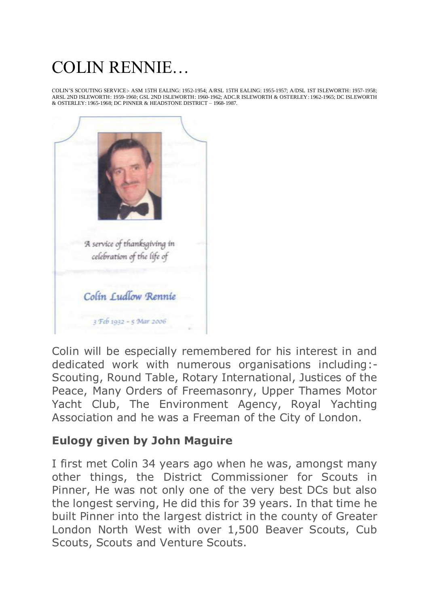## COLIN RENNIE…

COLIN'S SCOUTING SERVICE:- ASM 15TH EALING: 1952-1954; A/RSL 15TH EALING: 1955-1957; A/DSL 1ST ISLEWORTH: 1957-1958; ARSL 2ND ISLEWORTH: 1959-1960; GSL 2ND ISLEWORTH: 1960-1962; ADC.R ISLEWORTH & OSTERLEY: 1962-1965; DC ISLEWORTH & OSTERLEY: 1965-1968; DC PINNER & HEADSTONE DISTRICT – 1968-1987.



Colin will be especially remembered for his interest in and dedicated work with numerous organisations including:- Scouting, Round Table, Rotary International, Justices of the Peace, Many Orders of Freemasonry, Upper Thames Motor Yacht Club, The Environment Agency, Royal Yachting Association and he was a Freeman of the City of London.

## **Eulogy given by John Maguire**

I first met Colin 34 years ago when he was, amongst many other things, the District Commissioner for Scouts in Pinner, He was not only one of the very best DCs but also the longest serving, He did this for 39 years. In that time he built Pinner into the largest district in the county of Greater London North West with over 1,500 Beaver Scouts, Cub Scouts, Scouts and Venture Scouts.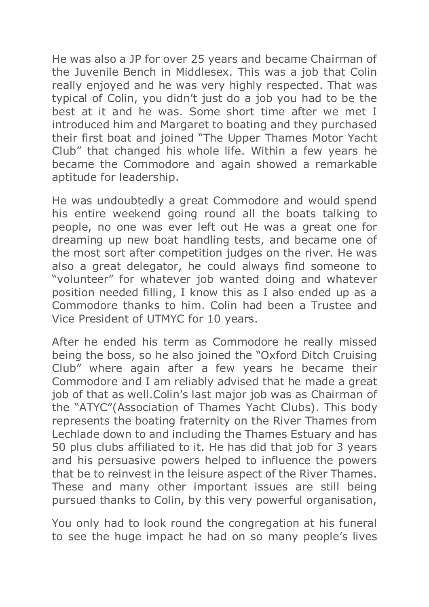He was also a JP for over 25 years and became Chairman of the Juvenile Bench in Middlesex. This was a job that Colin really enjoyed and he was very highly respected. That was typical of Colin, you didn't just do a job you had to be the best at it and he was. Some short time after we met I introduced him and Margaret to boating and they purchased their first boat and joined "The Upper Thames Motor Yacht Club" that changed his whole life. Within a few years he became the Commodore and again showed a remarkable aptitude for leadership.

He was undoubtedly a great Commodore and would spend his entire weekend going round all the boats talking to people, no one was ever left out He was a great one for dreaming up new boat handling tests, and became one of the most sort after competition judges on the river. He was also a great delegator, he could always find someone to "volunteer" for whatever job wanted doing and whatever position needed filling, I know this as I also ended up as a Commodore thanks to him. Colin had been a Trustee and Vice President of UTMYC for 10 years.

After he ended his term as Commodore he really missed being the boss, so he also joined the "Oxford Ditch Cruising Club" where again after a few years he became their Commodore and I am reliably advised that he made a great job of that as well.Colin's last major job was as Chairman of the "ATYC"(Association of Thames Yacht Clubs). This body represents the boating fraternity on the River Thames from Lechlade down to and including the Thames Estuary and has 50 plus clubs affiliated to it. He has did that job for 3 years and his persuasive powers helped to influence the powers that be to reinvest in the leisure aspect of the River Thames. These and many other important issues are still being pursued thanks to Colin, by this very powerful organisation,

You only had to look round the congregation at his funeral to see the huge impact he had on so many people's lives